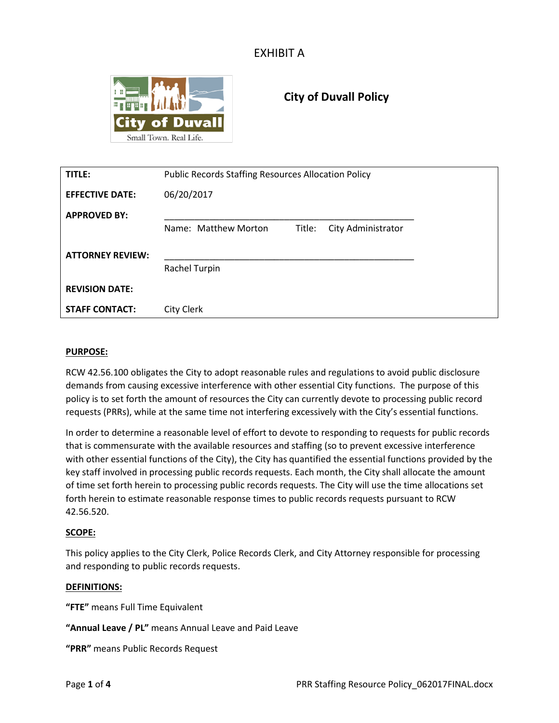

# **City of Duvall Policy**

| TITLE:                  | <b>Public Records Staffing Resources Allocation Policy</b> |
|-------------------------|------------------------------------------------------------|
| <b>EFFECTIVE DATE:</b>  | 06/20/2017                                                 |
| <b>APPROVED BY:</b>     |                                                            |
|                         | Name: Matthew Morton<br>City Administrator<br>Title:       |
| <b>ATTORNEY REVIEW:</b> |                                                            |
|                         | Rachel Turpin                                              |
| <b>REVISION DATE:</b>   |                                                            |
| <b>STAFF CONTACT:</b>   | City Clerk                                                 |

#### **PURPOSE:**

RCW 42.56.100 obligates the City to adopt reasonable rules and regulations to avoid public disclosure demands from causing excessive interference with other essential City functions. The purpose of this policy is to set forth the amount of resources the City can currently devote to processing public record requests (PRRs), while at the same time not interfering excessively with the City's essential functions.

In order to determine a reasonable level of effort to devote to responding to requests for public records that is commensurate with the available resources and staffing (so to prevent excessive interference with other essential functions of the City), the City has quantified the essential functions provided by the key staff involved in processing public records requests. Each month, the City shall allocate the amount of time set forth herein to processing public records requests. The City will use the time allocations set forth herein to estimate reasonable response times to public records requests pursuant to RCW 42.56.520.

#### **SCOPE:**

This policy applies to the City Clerk, Police Records Clerk, and City Attorney responsible for processing and responding to public records requests.

#### **DEFINITIONS:**

**"FTE"** means Full Time Equivalent

**"Annual Leave / PL"** means Annual Leave and Paid Leave

**"PRR"** means Public Records Request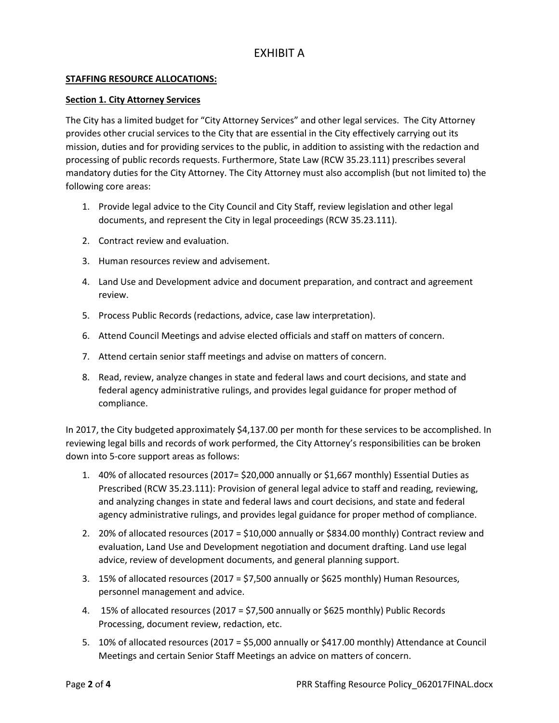### **STAFFING RESOURCE ALLOCATIONS:**

#### **Section 1. City Attorney Services**

The City has a limited budget for "City Attorney Services" and other legal services. The City Attorney provides other crucial services to the City that are essential in the City effectively carrying out its mission, duties and for providing services to the public, in addition to assisting with the redaction and processing of public records requests. Furthermore, State Law (RCW 35.23.111) prescribes several mandatory duties for the City Attorney. The City Attorney must also accomplish (but not limited to) the following core areas:

- 1. Provide legal advice to the City Council and City Staff, review legislation and other legal documents, and represent the City in legal proceedings (RCW 35.23.111).
- 2. Contract review and evaluation.
- 3. Human resources review and advisement.
- 4. Land Use and Development advice and document preparation, and contract and agreement review.
- 5. Process Public Records (redactions, advice, case law interpretation).
- 6. Attend Council Meetings and advise elected officials and staff on matters of concern.
- 7. Attend certain senior staff meetings and advise on matters of concern.
- 8. Read, review, analyze changes in state and federal laws and court decisions, and state and federal agency administrative rulings, and provides legal guidance for proper method of compliance.

In 2017, the City budgeted approximately \$4,137.00 per month for these services to be accomplished. In reviewing legal bills and records of work performed, the City Attorney's responsibilities can be broken down into 5-core support areas as follows:

- 1. 40% of allocated resources (2017= \$20,000 annually or \$1,667 monthly) Essential Duties as Prescribed (RCW 35.23.111): Provision of general legal advice to staff and reading, reviewing, and analyzing changes in state and federal laws and court decisions, and state and federal agency administrative rulings, and provides legal guidance for proper method of compliance.
- 2. 20% of allocated resources (2017 = \$10,000 annually or \$834.00 monthly) Contract review and evaluation, Land Use and Development negotiation and document drafting. Land use legal advice, review of development documents, and general planning support.
- 3. 15% of allocated resources (2017 = \$7,500 annually or \$625 monthly) Human Resources, personnel management and advice.
- 4. 15% of allocated resources (2017 = \$7,500 annually or \$625 monthly) Public Records Processing, document review, redaction, etc.
- 5. 10% of allocated resources (2017 = \$5,000 annually or \$417.00 monthly) Attendance at Council Meetings and certain Senior Staff Meetings an advice on matters of concern.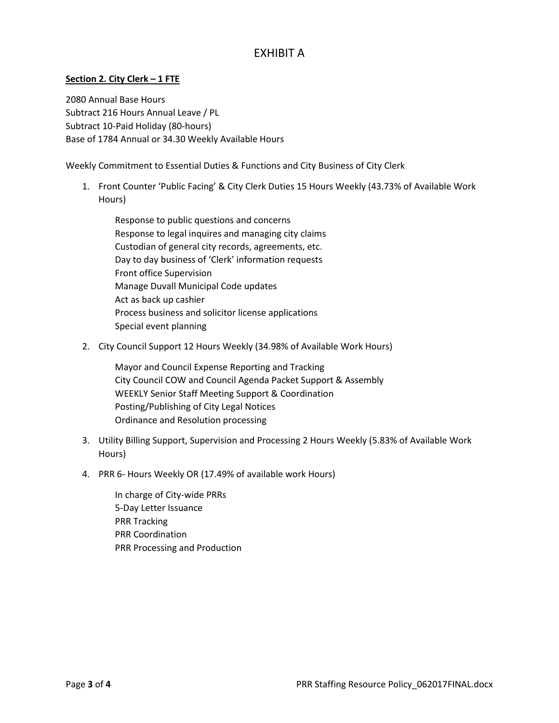### **Section 2. City Clerk – 1 FTE**

2080 Annual Base Hours Subtract 216 Hours Annual Leave / PL Subtract 10-Paid Holiday (80-hours) Base of 1784 Annual or 34.30 Weekly Available Hours

Weekly Commitment to Essential Duties & Functions and City Business of City Clerk

1. Front Counter 'Public Facing' & City Clerk Duties 15 Hours Weekly (43.73% of Available Work Hours)

Response to public questions and concerns Response to legal inquires and managing city claims Custodian of general city records, agreements, etc. Day to day business of 'Clerk' information requests Front office Supervision Manage Duvall Municipal Code updates Act as back up cashier Process business and solicitor license applications Special event planning

2. City Council Support 12 Hours Weekly (34.98% of Available Work Hours)

Mayor and Council Expense Reporting and Tracking City Council COW and Council Agenda Packet Support & Assembly WEEKLY Senior Staff Meeting Support & Coordination Posting/Publishing of City Legal Notices Ordinance and Resolution processing

- 3. Utility Billing Support, Supervision and Processing 2 Hours Weekly (5.83% of Available Work Hours)
- 4. PRR 6- Hours Weekly OR (17.49% of available work Hours)

In charge of City-wide PRRs 5-Day Letter Issuance PRR Tracking PRR Coordination PRR Processing and Production